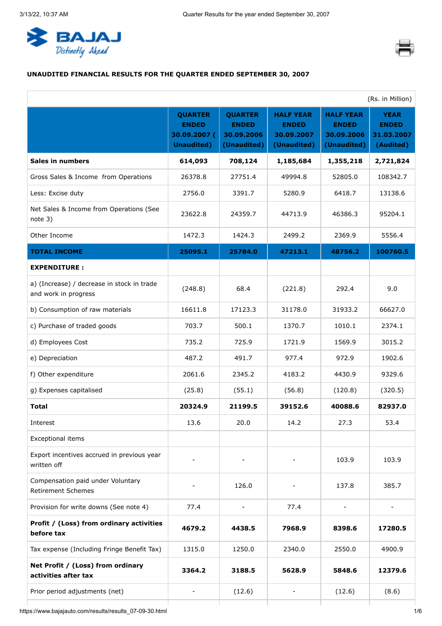<span id="page-0-0"></span>



# **UNAUDITED FINANCIAL RESULTS FOR THE QUARTER ENDED SEPTEMBER 30, 2007**

|                                                                    |                                                                      |                                                             |                                                               |                                                               | (Rs. in Million)                                       |
|--------------------------------------------------------------------|----------------------------------------------------------------------|-------------------------------------------------------------|---------------------------------------------------------------|---------------------------------------------------------------|--------------------------------------------------------|
|                                                                    | <b>QUARTER</b><br><b>ENDED</b><br>30.09.2007 (<br><b>Unaudited</b> ) | <b>QUARTER</b><br><b>ENDED</b><br>30.09.2006<br>(Unaudited) | <b>HALF YEAR</b><br><b>ENDED</b><br>30.09.2007<br>(Unaudited) | <b>HALF YEAR</b><br><b>ENDED</b><br>30.09.2006<br>(Unaudited) | <b>YEAR</b><br><b>ENDED</b><br>31.03.2007<br>(Audited) |
| <b>Sales in numbers</b>                                            | 614,093                                                              | 708,124                                                     | 1,185,684                                                     | 1,355,218                                                     | 2,721,824                                              |
| Gross Sales & Income from Operations                               | 26378.8                                                              | 27751.4                                                     | 49994.8                                                       | 52805.0                                                       | 108342.7                                               |
| Less: Excise duty                                                  | 2756.0                                                               | 3391.7                                                      | 5280.9                                                        | 6418.7                                                        | 13138.6                                                |
| Net Sales & Income from Operations (See<br>note $3)$               | 23622.8                                                              | 24359.7                                                     | 44713.9                                                       | 46386.3                                                       | 95204.1                                                |
| Other Income                                                       | 1472.3                                                               | 1424.3                                                      | 2499.2                                                        | 2369.9                                                        | 5556.4                                                 |
| <b>TOTAL INCOME</b>                                                | 25095.1                                                              | 25784.0                                                     | 47213.1                                                       | 48756.2                                                       | 100760.5                                               |
| <b>EXPENDITURE:</b>                                                |                                                                      |                                                             |                                                               |                                                               |                                                        |
| a) (Increase) / decrease in stock in trade<br>and work in progress | (248.8)                                                              | 68.4                                                        | (221.8)                                                       | 292.4                                                         | 9.0                                                    |
| b) Consumption of raw materials                                    | 16611.8                                                              | 17123.3                                                     | 31178.0                                                       | 31933.2                                                       | 66627.0                                                |
| c) Purchase of traded goods                                        | 703.7                                                                | 500.1                                                       | 1370.7                                                        | 1010.1                                                        | 2374.1                                                 |
| d) Employees Cost                                                  | 735.2                                                                | 725.9                                                       | 1721.9                                                        | 1569.9                                                        | 3015.2                                                 |
| e) Depreciation                                                    | 487.2                                                                | 491.7                                                       | 977.4                                                         | 972.9                                                         | 1902.6                                                 |
| f) Other expenditure                                               | 2061.6                                                               | 2345.2                                                      | 4183.2                                                        | 4430.9                                                        | 9329.6                                                 |
| g) Expenses capitalised                                            | (25.8)                                                               | (55.1)                                                      | (56.8)                                                        | (120.8)                                                       | (320.5)                                                |
| <b>Total</b>                                                       | 20324.9                                                              | 21199.5                                                     | 39152.6                                                       | 40088.6                                                       | 82937.0                                                |
| Interest                                                           | 13.6                                                                 | 20.0                                                        | 14.2                                                          | 27.3                                                          | 53.4                                                   |
| <b>Exceptional items</b>                                           |                                                                      |                                                             |                                                               |                                                               |                                                        |
| Export incentives accrued in previous year<br>written off          |                                                                      |                                                             |                                                               | 103.9                                                         | 103.9                                                  |
| Compensation paid under Voluntary<br><b>Retirement Schemes</b>     |                                                                      | 126.0                                                       |                                                               | 137.8                                                         | 385.7                                                  |
| Provision for write downs (See note 4)                             | 77.4                                                                 |                                                             | 77.4                                                          |                                                               |                                                        |
| Profit / (Loss) from ordinary activities<br>before tax             | 4679.2                                                               | 4438.5                                                      | 7968.9                                                        | 8398.6                                                        | 17280.5                                                |
| Tax expense (Including Fringe Benefit Tax)                         | 1315.0                                                               | 1250.0                                                      | 2340.0                                                        | 2550.0                                                        | 4900.9                                                 |
| Net Profit / (Loss) from ordinary<br>activities after tax          | 3364.2                                                               | 3188.5                                                      | 5628.9                                                        | 5848.6                                                        | 12379.6                                                |
| Prior period adjustments (net)                                     |                                                                      | (12.6)                                                      |                                                               | (12.6)                                                        | (8.6)                                                  |
|                                                                    |                                                                      |                                                             |                                                               |                                                               |                                                        |

https://www.bajajauto.com/results/results\_07-09-30.html 1/6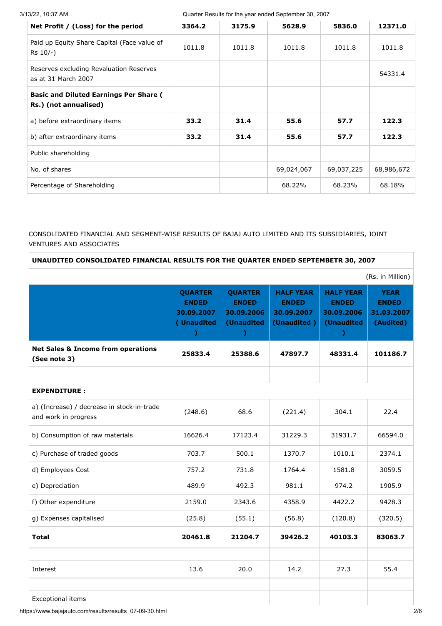| 3/13/22, 10:37 AM |  |
|-------------------|--|
|                   |  |

Quarter Results for the year ended September 30, 2007

| Net Profit / (Loss) for the period                                     | 3364.2 | 3175.9 | 5628.9     | 5836.0     | 12371.0    |
|------------------------------------------------------------------------|--------|--------|------------|------------|------------|
| Paid up Equity Share Capital (Face value of<br>$Rs$ 10/-)              | 1011.8 | 1011.8 | 1011.8     | 1011.8     | 1011.8     |
| Reserves excluding Revaluation Reserves<br>as at 31 March 2007         |        |        |            |            | 54331.4    |
| <b>Basic and Diluted Earnings Per Share (</b><br>Rs.) (not annualised) |        |        |            |            |            |
| a) before extraordinary items                                          | 33.2   | 31.4   | 55.6       | 57.7       | 122.3      |
| b) after extraordinary items                                           | 33.2   | 31.4   | 55.6       | 57.7       | 122.3      |
| Public shareholding                                                    |        |        |            |            |            |
| No. of shares                                                          |        |        | 69,024,067 | 69,037,225 | 68,986,672 |
| Percentage of Shareholding                                             |        |        | 68.22%     | 68.23%     | 68.18%     |
|                                                                        |        |        |            |            |            |

## CONSOLIDATED FINANCIAL AND SEGMENT-WISE RESULTS OF BAJAJ AUTO LIMITED AND ITS SUBSIDIARIES, JOINT VENTURES AND ASSOCIATES

### **UNAUDITED CONSOLIDATED FINANCIAL RESULTS FOR THE QUARTER ENDED SEPTEMBETR 30, 2007**

|                                                                    |                                                            |                                                                            |                                                               |                                                                              | (Rs. in Million)                                       |
|--------------------------------------------------------------------|------------------------------------------------------------|----------------------------------------------------------------------------|---------------------------------------------------------------|------------------------------------------------------------------------------|--------------------------------------------------------|
|                                                                    | <b>QUARTER</b><br><b>ENDED</b><br>30.09.2007<br>(Unaudited | <b>QUARTER</b><br><b>ENDED</b><br>30.09.2006<br>(Unaudited<br><sup>)</sup> | <b>HALF YEAR</b><br><b>ENDED</b><br>30.09.2007<br>(Unaudited) | <b>HALF YEAR</b><br><b>ENDED</b><br>30.09.2006<br>(Unaudited<br><sup>)</sup> | <b>YEAR</b><br><b>ENDED</b><br>31.03.2007<br>(Audited) |
| <b>Net Sales &amp; Income from operations</b><br>(See note 3)      | 25833.4                                                    | 25388.6                                                                    | 47897.7                                                       | 48331.4                                                                      | 101186.7                                               |
|                                                                    |                                                            |                                                                            |                                                               |                                                                              |                                                        |
| <b>EXPENDITURE:</b>                                                |                                                            |                                                                            |                                                               |                                                                              |                                                        |
| a) (Increase) / decrease in stock-in-trade<br>and work in progress | (248.6)                                                    | 68.6                                                                       | (221.4)                                                       | 304.1                                                                        | 22.4                                                   |
| b) Consumption of raw materials                                    | 16626.4                                                    | 17123.4                                                                    | 31229.3                                                       | 31931.7                                                                      | 66594.0                                                |
| c) Purchase of traded goods                                        | 703.7                                                      | 500.1                                                                      | 1370.7                                                        | 1010.1                                                                       | 2374.1                                                 |
| d) Employees Cost                                                  | 757.2                                                      | 731.8                                                                      | 1764.4                                                        | 1581.8                                                                       | 3059.5                                                 |
| e) Depreciation                                                    | 489.9                                                      | 492.3                                                                      | 981.1                                                         | 974.2                                                                        | 1905.9                                                 |
| f) Other expenditure                                               | 2159.0                                                     | 2343.6                                                                     | 4358.9                                                        | 4422.2                                                                       | 9428.3                                                 |
| g) Expenses capitalised                                            | (25.8)                                                     | (55.1)                                                                     | (56.8)                                                        | (120.8)                                                                      | (320.5)                                                |
| <b>Total</b>                                                       | 20461.8                                                    | 21204.7                                                                    | 39426.2                                                       | 40103.3                                                                      | 83063.7                                                |
|                                                                    |                                                            |                                                                            |                                                               |                                                                              |                                                        |
| Interest                                                           | 13.6                                                       | 20.0                                                                       | 14.2                                                          | 27.3                                                                         | 55.4                                                   |
|                                                                    |                                                            |                                                                            |                                                               |                                                                              |                                                        |
| <b>Exceptional items</b>                                           |                                                            |                                                                            |                                                               |                                                                              |                                                        |

https://www.bajajauto.com/results/results\_07-09-30.html 2/6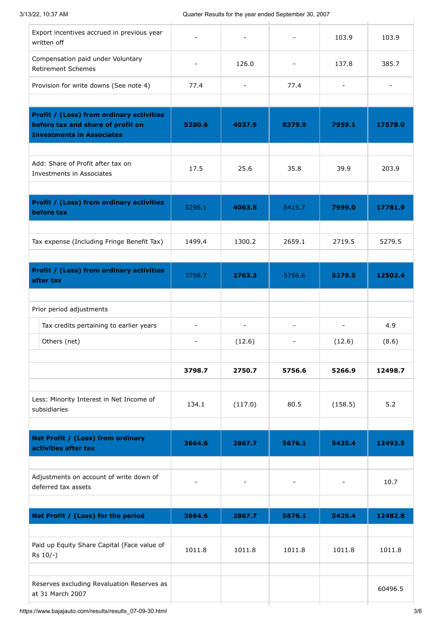| Export incentives accrued in previous year<br>written off                                                                |                          |                |                          | 103.9          | 103.9          |
|--------------------------------------------------------------------------------------------------------------------------|--------------------------|----------------|--------------------------|----------------|----------------|
| Compensation paid under Voluntary<br><b>Retirement Schemes</b>                                                           |                          | 126.0          |                          | 137.8          | 385.7          |
| Provision for write downs (See note 4)                                                                                   | 77.4                     |                | 77.4                     | $\overline{a}$ | $\blacksquare$ |
|                                                                                                                          |                          |                |                          |                |                |
| <b>Profit / (Loss) from ordinary activities</b><br>before tax and share of profit on<br><b>Investments in Associates</b> | 5280.6                   | 4037.9         | 8379.9                   | 7959.1         | 17578.0        |
|                                                                                                                          |                          |                |                          |                |                |
| Add: Share of Profit after tax on<br>Investments in Associates                                                           | 17.5                     | 25.6           | 35.8                     | 39.9           | 203.9          |
|                                                                                                                          |                          |                |                          |                |                |
| Profit / (Loss) from ordinary activities<br>before tax                                                                   | 5298.1                   | 4063.5         | 8415.7                   | 7999.0         | 17781.9        |
|                                                                                                                          |                          |                |                          |                |                |
| Tax expense (Including Fringe Benefit Tax)                                                                               | 1499.4                   | 1300.2         | 2659.1                   | 2719.5         | 5279.5         |
| <b>Profit / (Loss) from ordinary activities</b>                                                                          | 3798.7                   | 2763.3         | 5756.6                   | 5279.5         | 12502.4        |
| after tax                                                                                                                |                          |                |                          |                |                |
|                                                                                                                          |                          |                |                          |                |                |
| Prior period adjustments                                                                                                 |                          |                |                          |                |                |
| Tax credits pertaining to earlier years                                                                                  | $\overline{\phantom{a}}$ | $\blacksquare$ | $\overline{\phantom{a}}$ | $\overline{a}$ | 4.9            |
| Others (net)                                                                                                             | $\overline{\phantom{a}}$ | (12.6)         | ۰                        | (12.6)         | (8.6)          |
|                                                                                                                          | 3798.7                   | 2750.7         | 5756.6                   | 5266.9         | 12498.7        |
|                                                                                                                          |                          |                |                          |                |                |
| Less: Minority Interest in Net Income of<br>subsidiaries                                                                 | 134.1                    | (117.0)        | 80.5                     | (158.5)        | 5.2            |
|                                                                                                                          |                          |                |                          |                |                |
| Net Profit / (Loss) from ordinary<br>activities after tax                                                                | 3664.6                   | 2867.7         | 5676.1                   | 5425.4         | 12493.5        |
|                                                                                                                          |                          |                |                          |                |                |
| Adjustments on account of write down of<br>deferred tax assets                                                           | $\overline{\phantom{a}}$ |                | ÷,                       | $\overline{a}$ | 10.7           |
|                                                                                                                          |                          |                |                          |                |                |
| Net Profit / (Loss) for the period                                                                                       | 3664.6                   | 2867.7         | 5676.1                   | 5425.4         | 12482.8        |
|                                                                                                                          |                          |                |                          |                |                |
| Paid up Equity Share Capital (Face value of<br>Rs 10/-)                                                                  | 1011.8                   | 1011.8         | 1011.8                   | 1011.8         | 1011.8         |
|                                                                                                                          |                          |                |                          |                |                |
| Reserves excluding Revaluation Reserves as<br>at 31 March 2007                                                           |                          |                |                          |                | 60496.5        |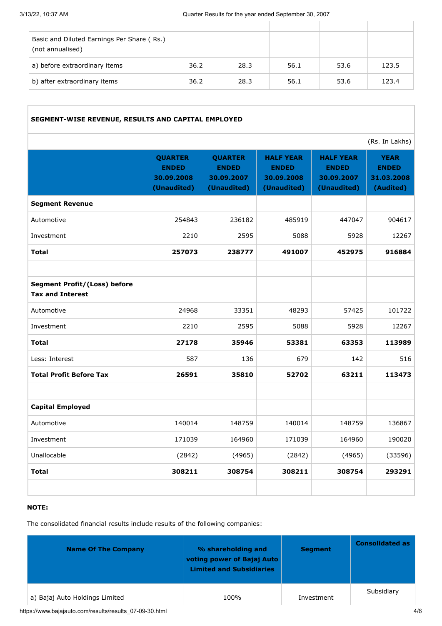| Basic and Diluted Earnings Per Share (Rs.)<br>(not annualised) |      |      |      |      |       |
|----------------------------------------------------------------|------|------|------|------|-------|
| a) before extraordinary items                                  | 36.2 | 28.3 | 56.1 | 53.6 | 123.5 |
| b) after extraordinary items                                   | 36.2 | 28.3 | 56.1 | 53.6 | 123.4 |

### **SEGMENT-WISE REVENUE, RESULTS AND CAPITAL EMPLOYED**

|                                                                |                                                             |                                                             |                                                               |                                                               | (Rs. In Lakhs)                                         |
|----------------------------------------------------------------|-------------------------------------------------------------|-------------------------------------------------------------|---------------------------------------------------------------|---------------------------------------------------------------|--------------------------------------------------------|
|                                                                | <b>QUARTER</b><br><b>ENDED</b><br>30.09.2008<br>(Unaudited) | <b>QUARTER</b><br><b>ENDED</b><br>30.09.2007<br>(Unaudited) | <b>HALF YEAR</b><br><b>ENDED</b><br>30.09.2008<br>(Unaudited) | <b>HALF YEAR</b><br><b>ENDED</b><br>30.09.2007<br>(Unaudited) | <b>YEAR</b><br><b>ENDED</b><br>31.03.2008<br>(Audited) |
| <b>Segment Revenue</b>                                         |                                                             |                                                             |                                                               |                                                               |                                                        |
| Automotive                                                     | 254843                                                      | 236182                                                      | 485919                                                        | 447047                                                        | 904617                                                 |
| Investment                                                     | 2210                                                        | 2595                                                        | 5088                                                          | 5928                                                          | 12267                                                  |
| <b>Total</b>                                                   | 257073                                                      | 238777                                                      | 491007                                                        | 452975                                                        | 916884                                                 |
| <b>Segment Profit/(Loss) before</b><br><b>Tax and Interest</b> |                                                             |                                                             |                                                               |                                                               |                                                        |
| Automotive                                                     | 24968                                                       | 33351                                                       | 48293                                                         | 57425                                                         | 101722                                                 |
| Investment                                                     | 2210                                                        | 2595                                                        | 5088                                                          | 5928                                                          | 12267                                                  |
| Total                                                          | 27178                                                       | 35946                                                       | 53381                                                         | 63353                                                         | 113989                                                 |
| Less: Interest                                                 | 587                                                         | 136                                                         | 679                                                           | 142                                                           | 516                                                    |
| <b>Total Profit Before Tax</b>                                 | 26591                                                       | 35810                                                       | 52702                                                         | 63211                                                         | 113473                                                 |
| <b>Capital Employed</b>                                        |                                                             |                                                             |                                                               |                                                               |                                                        |
| Automotive                                                     | 140014                                                      | 148759                                                      | 140014                                                        | 148759                                                        | 136867                                                 |
| Investment                                                     | 171039                                                      | 164960                                                      | 171039                                                        | 164960                                                        | 190020                                                 |
| Unallocable                                                    | (2842)                                                      | (4965)                                                      | (2842)                                                        | (4965)                                                        | (33596)                                                |
| <b>Total</b>                                                   | 308211                                                      | 308754                                                      | 308211                                                        | 308754                                                        | 293291                                                 |
|                                                                |                                                             |                                                             |                                                               |                                                               |                                                        |

#### **NOTE:**

The consolidated financial results include results of the following companies:

| <b>Name Of The Company</b>     | % shareholding and<br>voting power of Bajaj Auto<br><b>Limited and Subsidiaries</b> | <b>Segment</b> | <b>Consolidated as</b> |
|--------------------------------|-------------------------------------------------------------------------------------|----------------|------------------------|
| a) Bajaj Auto Holdings Limited | 100%                                                                                | Investment     | Subsidiary             |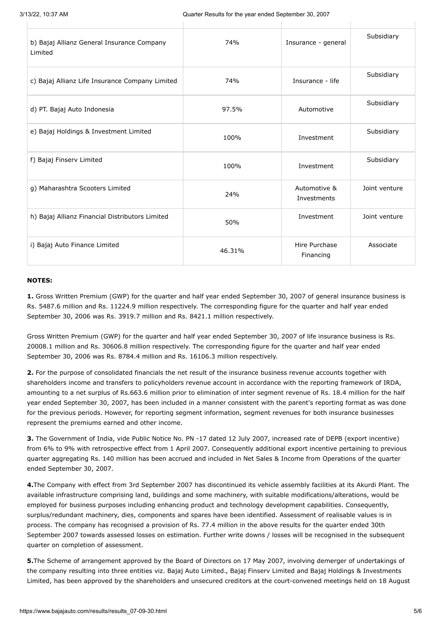| b) Bajaj Allianz General Insurance Company<br>Limited | 74%    | Insurance - general         | Subsidiary    |
|-------------------------------------------------------|--------|-----------------------------|---------------|
| c) Bajaj Allianz Life Insurance Company Limited       | 74%    | Insurance - life            | Subsidiary    |
| d) PT. Bajaj Auto Indonesia                           | 97.5%  | Automotive                  | Subsidiary    |
| e) Bajaj Holdings & Investment Limited                | 100%   | Investment                  | Subsidiary    |
| f) Bajaj Finserv Limited                              | 100%   | Investment                  | Subsidiary    |
| g) Maharashtra Scooters Limited                       | 24%    | Automotive &<br>Investments | Joint venture |
| h) Bajaj Allianz Financial Distributors Limited       | 50%    | Investment                  | Joint venture |
| i) Bajaj Auto Finance Limited                         | 46.31% | Hire Purchase<br>Financing  | Associate     |

#### **NOTES:**

**1.** Gross Written Premium (GWP) for the quarter and half year ended September 30, 2007 of general insurance business is Rs. 5487.6 million and Rs. 11224.9 million respectively. The corresponding figure for the quarter and half year ended September 30, 2006 was Rs. 3919.7 million and Rs. 8421.1 million respectively.

Gross Written Premium (GWP) for the quarter and half year ended September 30, 2007 of life insurance business is Rs. 20008.1 million and Rs. 30606.8 million respectively. The corresponding figure for the quarter and half year ended September 30, 2006 was Rs. 8784.4 million and Rs. 16106.3 million respectively.

**2.** For the purpose of consolidated financials the net result of the insurance business revenue accounts together with shareholders income and transfers to policyholders revenue account in accordance with the reporting framework of IRDA, amounting to a net surplus of Rs.663.6 million prior to elimination of inter segment revenue of Rs. 18.4 million for the half year ended September 30, 2007, has been included in a manner consistent with the parent's reporting format as was done for the previous periods. However, for reporting segment information, segment revenues for both insurance businesses represent the premiums earned and other income.

**3.** The Government of India, vide Public Notice No. PN -17 dated 12 July 2007, increased rate of DEPB (export incentive) from 6% to 9% with retrospective effect from 1 April 2007. Consequently additional export incentive pertaining to previous quarter aggregating Rs. 140 million has been accrued and included in Net Sales & Income from Operations of the quarter ended September 30, 2007.

**4.**The Company with effect from 3rd September 2007 has discontinued its vehicle assembly facilities at its Akurdi Plant. The available infrastructure comprising land, buildings and some machinery, with suitable modifications/alterations, would be employed for business purposes including enhancing product and technology development capabilities. Consequently, surplus/redundant machinery, dies, components and spares have been identified. Assessment of realisable values is in process. The company has recognised a provision of Rs. 77.4 million in the above results for the quarter ended 30th September 2007 towards assessed losses on estimation. Further write downs / losses will be recognised in the subsequent quarter on completion of assessment.

**5.**The Scheme of arrangement approved by the Board of Directors on 17 May 2007, involving demerger of undertakings of the company resulting into three entities viz. Bajaj Auto Limited., Bajaj Finserv Limited and Bajaj Holdings & Investments Limited, has been approved by the shareholders and unsecured creditors at the court-convened meetings held on 18 August